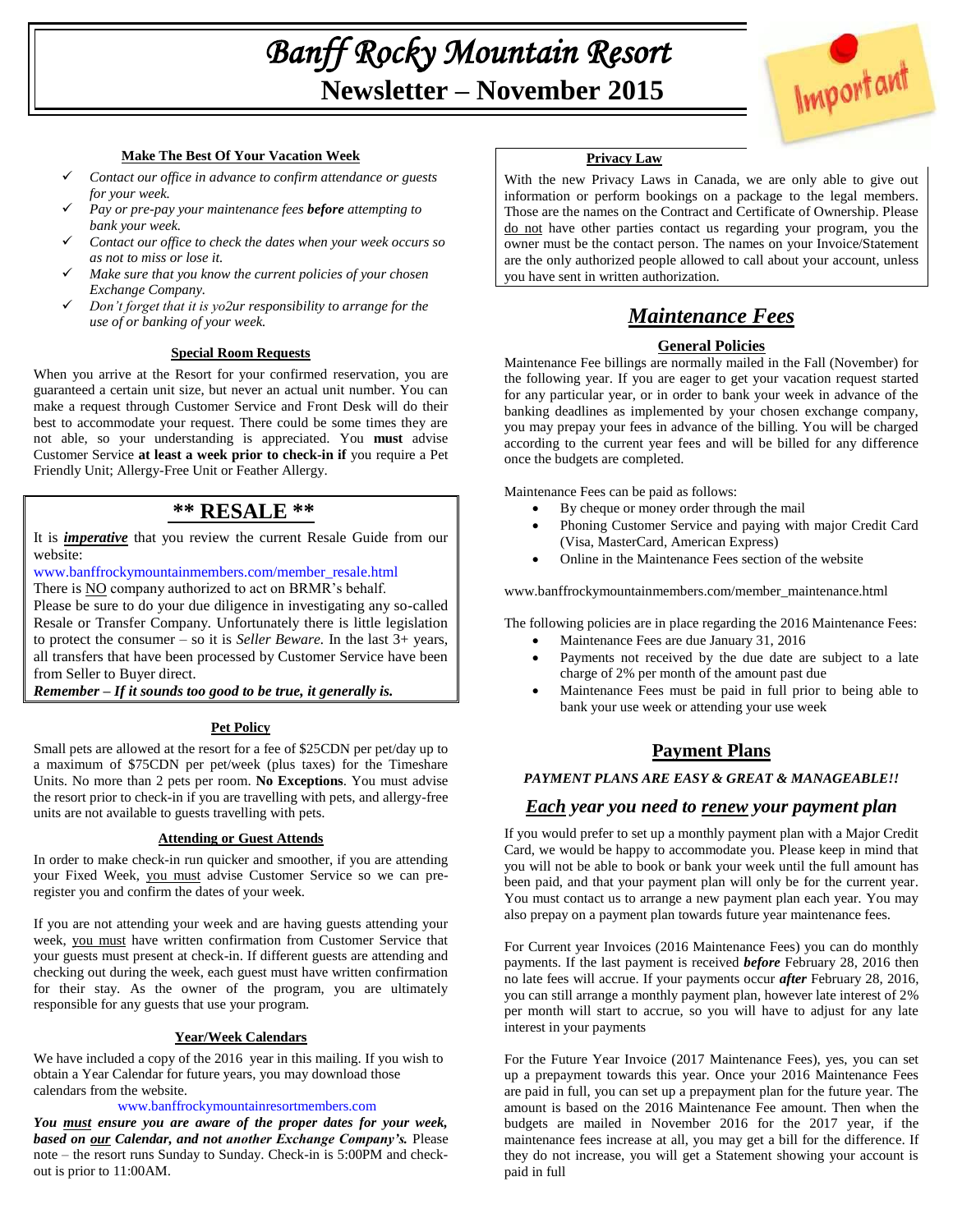# *Banff Rocky Mountain Resort* **Newsletter – November 2015**



### **Make The Best Of Your Vacation Week**

- *Contact our office in advance to confirm attendance or guests for your week.*
- *Pay or pre-pay your maintenance fees before attempting to bank your week.*
- *Contact our office to check the dates when your week occurs so as not to miss or lose it.*
- *Make sure that you know the current policies of your chosen Exchange Company.*
- *Don't forget that it is yo2ur responsibility to arrange for the use of or banking of your week.*

## **Special Room Requests**

When you arrive at the Resort for your confirmed reservation, you are guaranteed a certain unit size, but never an actual unit number. You can make a request through Customer Service and Front Desk will do their best to accommodate your request. There could be some times they are not able, so your understanding is appreciated. You **must** advise Customer Service **at least a week prior to check-in if** you require a Pet Friendly Unit; Allergy-Free Unit or Feather Allergy.

## **\*\* RESALE \*\***

It is *imperative* that you review the current Resale Guide from our website:

[www.banffrockymountainmembers.com/member\\_resale.html](http://www.banffrockymountainmembers.com/member_resale.html)

There is NO company authorized to act on BRMR's behalf.

Please be sure to do your due diligence in investigating any so-called Resale or Transfer Company. Unfortunately there is little legislation to protect the consumer – so it is *Seller Beware.* In the last 3+ years, all transfers that have been processed by Customer Service have been from Seller to Buyer direct.

*Remember – If it sounds too good to be true, it generally is.*

## **Pet Policy**

Small pets are allowed at the resort for a fee of \$25CDN per pet/day up to a maximum of \$75CDN per pet/week (plus taxes) for the Timeshare Units. No more than 2 pets per room. **No Exceptions**. You must advise the resort prior to check-in if you are travelling with pets, and allergy-free units are not available to guests travelling with pets.

### **Attending or Guest Attends**

In order to make check-in run quicker and smoother, if you are attending your Fixed Week, you must advise Customer Service so we can preregister you and confirm the dates of your week.

If you are not attending your week and are having guests attending your week, you must have written confirmation from Customer Service that your guests must present at check-in. If different guests are attending and checking out during the week, each guest must have written confirmation for their stay. As the owner of the program, you are ultimately responsible for any guests that use your program.

### **Year/Week Calendars**

We have included a copy of the 2016 year in this mailing. If you wish to obtain a Year Calendar for future years, you may download those calendars from the website.

#### [www.banffrockymountainresortmembers.com](http://www.banffrockymountainresortmembers.com/)

*You must ensure you are aware of the proper dates for your week, based on our Calendar, and not another Exchange Company's.* Please note – the resort runs Sunday to Sunday. Check-in is 5:00PM and checkout is prior to 11:00AM.

#### **Privacy Law**

With the new Privacy Laws in Canada, we are only able to give out information or perform bookings on a package to the legal members. Those are the names on the Contract and Certificate of Ownership. Please do not have other parties contact us regarding your program, you the owner must be the contact person. The names on your Invoice/Statement are the only authorized people allowed to call about your account, unless you have sent in written authorization.

## *Maintenance Fees*

## **General Policies**

Maintenance Fee billings are normally mailed in the Fall (November) for the following year. If you are eager to get your vacation request started for any particular year, or in order to bank your week in advance of the banking deadlines as implemented by your chosen exchange company, you may prepay your fees in advance of the billing. You will be charged according to the current year fees and will be billed for any difference once the budgets are completed.

Maintenance Fees can be paid as follows:

- By cheque or money order through the mail
- Phoning Customer Service and paying with major Credit Card (Visa, MasterCard, American Express)
- Online in the Maintenance Fees section of the website

www.banffrockymountainmembers.com/member\_maintenance.html

The following policies are in place regarding the 2016 Maintenance Fees:

- Maintenance Fees are due January 31, 2016
- Payments not received by the due date are subject to a late charge of 2% per month of the amount past due
- Maintenance Fees must be paid in full prior to being able to bank your use week or attending your use week

## **Payment Plans**

## *PAYMENT PLANS ARE EASY & GREAT & MANAGEABLE!!*

## *Each year you need to renew your payment plan*

If you would prefer to set up a monthly payment plan with a Major Credit Card, we would be happy to accommodate you. Please keep in mind that you will not be able to book or bank your week until the full amount has been paid, and that your payment plan will only be for the current year. You must contact us to arrange a new payment plan each year. You may also prepay on a payment plan towards future year maintenance fees.

For Current year Invoices (2016 Maintenance Fees) you can do monthly payments. If the last payment is received *before* February 28, 2016 then no late fees will accrue. If your payments occur *after* February 28, 2016, you can still arrange a monthly payment plan, however late interest of 2% per month will start to accrue, so you will have to adjust for any late interest in your payments

For the Future Year Invoice (2017 Maintenance Fees), yes, you can set up a prepayment towards this year. Once your 2016 Maintenance Fees are paid in full, you can set up a prepayment plan for the future year. The amount is based on the 2016 Maintenance Fee amount. Then when the budgets are mailed in November 2016 for the 2017 year, if the maintenance fees increase at all, you may get a bill for the difference. If they do not increase, you will get a Statement showing your account is paid in full